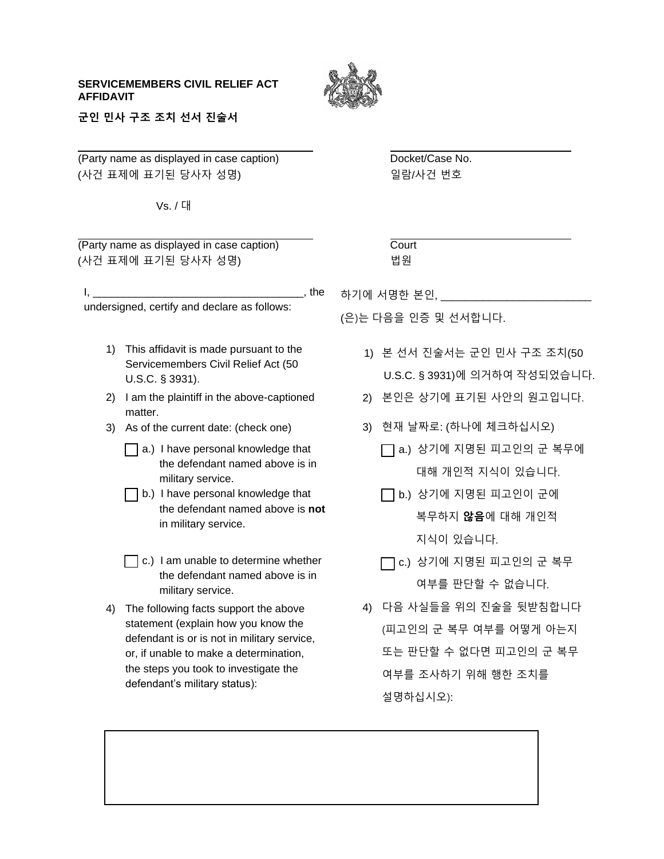## **SERVICEMEMBERS CIVIL RELIEF ACT AFFIDAVIT**



**군인 민사 구조 조치 선서 진술서**

(Party name as displayed in case caption) Docket/Case No. (사건 표제에 표기된 당사자 성명) 일람/사건 번호

Vs. / 대

 $(Party)$  name as displayed in case caption)  $($ (사건 표제에 표기된 당사자 성명)

 $I,$ undersigned, certify and declare as follows:

- 1) This affidavit is made pursuant to the Servicemembers Civil Relief Act (50 U.S.C. § 3931).
- 2) I am the plaintiff in the above-captioned matter.
- 3) As of the current date: (check one)
	- a.) I have personal knowledge that the defendant named above is in military service.
	- b.) I have personal knowledge that the defendant named above is **not**  in military service.
	- $\Box$  c.) I am unable to determine whether the defendant named above is in military service.
- 4) The following facts support the above statement (explain how you know the defendant is or is not in military service, or, if unable to make a determination, the steps you took to investigate the defendant's military status):

| ات | ourt |  |
|----|------|--|
|    | 법워   |  |

하기에 서명한 본인,

(은)는 다음을 인증 및 선서합니다.

- 1) 본 선서 진술서는 군인 민사 구조 조치(50 U.S.C. § 3931)에 의거하여 작성되었습니다.
- 2) 본인은 상기에 표기된 사안의 원고입니다.
- 3) 현재 날짜로: (하나에 체크하십시오)
	- a.) 상기에 지명된 피고인의 군 복무에 대해 개인적 지식이 있습니다.
	- $\Box$  b.) 상기에 지명된 피고인이 군에 복무하지 **않음**에 대해 개인적 지식이 있습니다.
	- $\Box$  c.) 상기에 지명된 피고인의 군 복무 여부를 판단할 수 없습니다.
- 4) 다음 사실들을 위의 진술을 뒷받침합니다 (피고인의 군 복무 여부를 어떻게 아는지 또는 판단할 수 없다면 피고인의 군 복무 여부를 조사하기 위해 행한 조치를 설명하십시오):